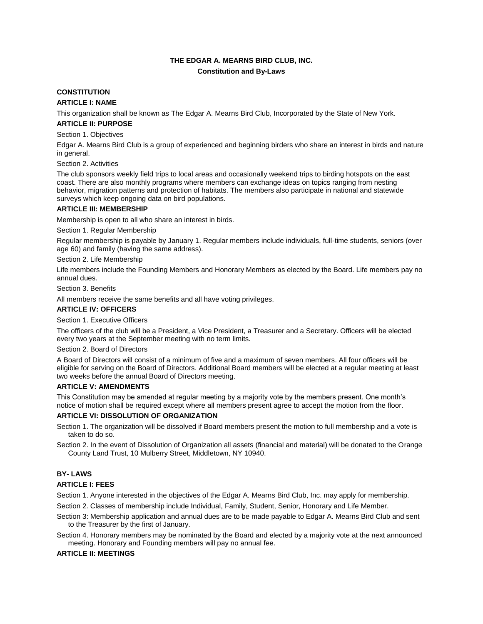# **THE EDGAR A. MEARNS BIRD CLUB, INC. Constitution and By-Laws**

# **CONSTITUTION**

## **ARTICLE I: NAME**

This organization shall be known as The Edgar A. Mearns Bird Club, Incorporated by the State of New York.

## **ARTICLE II: PURPOSE**

Section 1. Objectives

Edgar A. Mearns Bird Club is a group of experienced and beginning birders who share an interest in birds and nature in general.

Section 2. Activities

The club sponsors weekly field trips to local areas and occasionally weekend trips to birding hotspots on the east coast. There are also monthly programs where members can exchange ideas on topics ranging from nesting behavior, migration patterns and protection of habitats. The members also participate in national and statewide surveys which keep ongoing data on bird populations.

# **ARTICLE III: MEMBERSHIP**

Membership is open to all who share an interest in birds.

Section 1. Regular Membership

Regular membership is payable by January 1. Regular members include individuals, full-time students, seniors (over age 60) and family (having the same address).

Section 2. Life Membership

Life members include the Founding Members and Honorary Members as elected by the Board. Life members pay no annual dues.

Section 3. Benefits

All members receive the same benefits and all have voting privileges.

# **ARTICLE IV: OFFICERS**

Section 1. Executive Officers

The officers of the club will be a President, a Vice President, a Treasurer and a Secretary. Officers will be elected every two years at the September meeting with no term limits.

Section 2. Board of Directors

A Board of Directors will consist of a minimum of five and a maximum of seven members. All four officers will be eligible for serving on the Board of Directors. Additional Board members will be elected at a regular meeting at least two weeks before the annual Board of Directors meeting.

## **ARTICLE V: AMENDMENTS**

This Constitution may be amended at regular meeting by a majority vote by the members present. One month's notice of motion shall be required except where all members present agree to accept the motion from the floor.

## **ARTICLE VI: DISSOLUTION OF ORGANIZATION**

- Section 1. The organization will be dissolved if Board members present the motion to full membership and a vote is taken to do so.
- Section 2. In the event of Dissolution of Organization all assets (financial and material) will be donated to the Orange County Land Trust, 10 Mulberry Street, Middletown, NY 10940.

# **BY- LAWS**

## **ARTICLE I: FEES**

Section 1. Anyone interested in the objectives of the Edgar A. Mearns Bird Club, Inc. may apply for membership.

- Section 2. Classes of membership include Individual, Family, Student, Senior, Honorary and Life Member.
- Section 3: Membership application and annual dues are to be made payable to Edgar A. Mearns Bird Club and sent to the Treasurer by the first of January.
- Section 4. Honorary members may be nominated by the Board and elected by a majority vote at the next announced meeting. Honorary and Founding members will pay no annual fee.

## **ARTICLE II: MEETINGS**